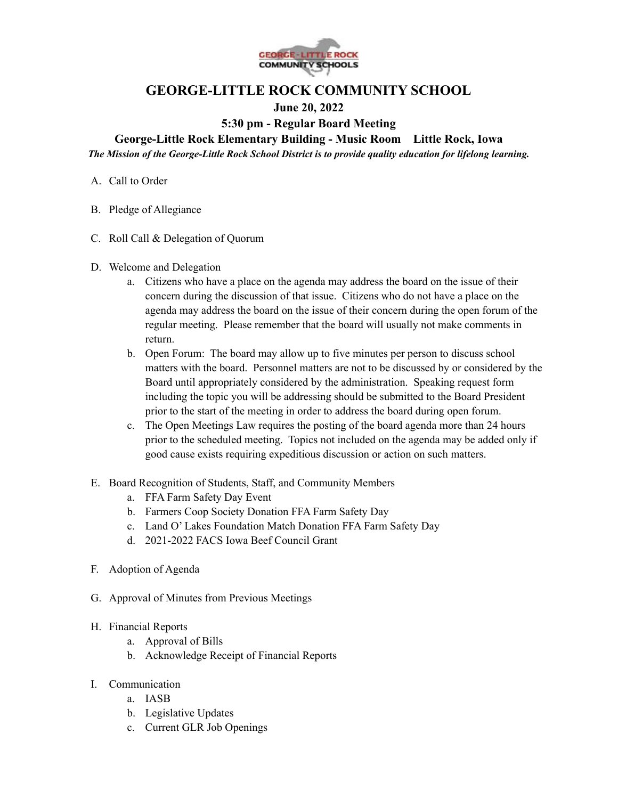

# **GEORGE-LITTLE ROCK COMMUNITY SCHOOL**

## **June 20, 2022**

### **5:30 pm - Regular Board Meeting**

**George-Little Rock Elementary Building - Music Room Little Rock, Iowa**

*The Mission of the George-Little Rock School District is to provide quality education for lifelong learning.*

- A. Call to Order
- B. Pledge of Allegiance
- C. Roll Call & Delegation of Quorum
- D. Welcome and Delegation
	- a. Citizens who have a place on the agenda may address the board on the issue of their concern during the discussion of that issue. Citizens who do not have a place on the agenda may address the board on the issue of their concern during the open forum of the regular meeting. Please remember that the board will usually not make comments in return.
	- b. Open Forum: The board may allow up to five minutes per person to discuss school matters with the board. Personnel matters are not to be discussed by or considered by the Board until appropriately considered by the administration. Speaking request form including the topic you will be addressing should be submitted to the Board President prior to the start of the meeting in order to address the board during open forum.
	- c. The Open Meetings Law requires the posting of the board agenda more than 24 hours prior to the scheduled meeting. Topics not included on the agenda may be added only if good cause exists requiring expeditious discussion or action on such matters.
- E. Board Recognition of Students, Staff, and Community Members
	- a. FFA Farm Safety Day Event
	- b. Farmers Coop Society Donation FFA Farm Safety Day
	- c. Land O' Lakes Foundation Match Donation FFA Farm Safety Day
	- d. 2021-2022 FACS Iowa Beef Council Grant
- F. Adoption of Agenda
- G. Approval of Minutes from Previous Meetings
- H. Financial Reports
	- a. Approval of Bills
	- b. Acknowledge Receipt of Financial Reports
- I. Communication
	- a. IASB
	- b. Legislative Updates
	- c. Current GLR Job Openings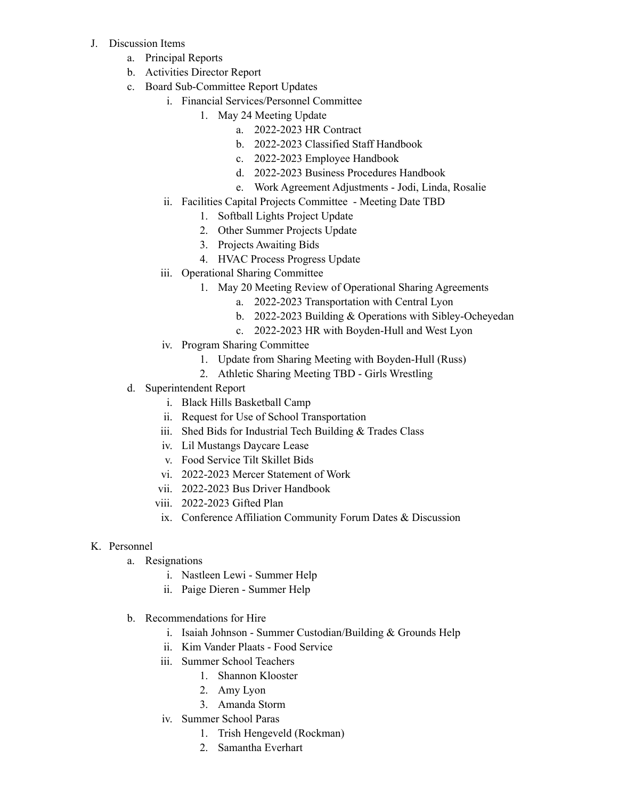- J. Discussion Items
	- a. Principal Reports
	- b. Activities Director Report
	- c. Board Sub-Committee Report Updates
		- i. Financial Services/Personnel Committee
			- 1. May 24 Meeting Update
				- a. 2022-2023 HR Contract
					- b. 2022-2023 Classified Staff Handbook
					- c. 2022-2023 Employee Handbook
					- d. 2022-2023 Business Procedures Handbook
					- e. Work Agreement Adjustments Jodi, Linda, Rosalie
		- ii. Facilities Capital Projects Committee Meeting Date TBD
			- 1. Softball Lights Project Update
			- 2. Other Summer Projects Update
			- 3. Projects Awaiting Bids
			- 4. HVAC Process Progress Update
		- iii. Operational Sharing Committee
			- 1. May 20 Meeting Review of Operational Sharing Agreements
				- a. 2022-2023 Transportation with Central Lyon
				- b. 2022-2023 Building & Operations with Sibley-Ocheyedan
				- c. 2022-2023 HR with Boyden-Hull and West Lyon
		- iv. Program Sharing Committee
			- 1. Update from Sharing Meeting with Boyden-Hull (Russ)
			- 2. Athletic Sharing Meeting TBD Girls Wrestling
	- d. Superintendent Report
		- i. Black Hills Basketball Camp
		- ii. Request for Use of School Transportation
		- iii. Shed Bids for Industrial Tech Building & Trades Class
		- iv. Lil Mustangs Daycare Lease
		- v. Food Service Tilt Skillet Bids
		- vi. 2022-2023 Mercer Statement of Work
		- vii. 2022-2023 Bus Driver Handbook
		- viii. 2022-2023 Gifted Plan
		- ix. Conference Affiliation Community Forum Dates & Discussion

#### K. Personnel

- a. Resignations
	- i. Nastleen Lewi Summer Help
	- ii. Paige Dieren Summer Help
- b. Recommendations for Hire
	- i. Isaiah Johnson Summer Custodian/Building & Grounds Help
	- ii. Kim Vander Plaats Food Service
	- iii. Summer School Teachers
		- 1. Shannon Klooster
		- 2. Amy Lyon
		- 3. Amanda Storm
	- iv. Summer School Paras
		- 1. Trish Hengeveld (Rockman)
		- 2. Samantha Everhart